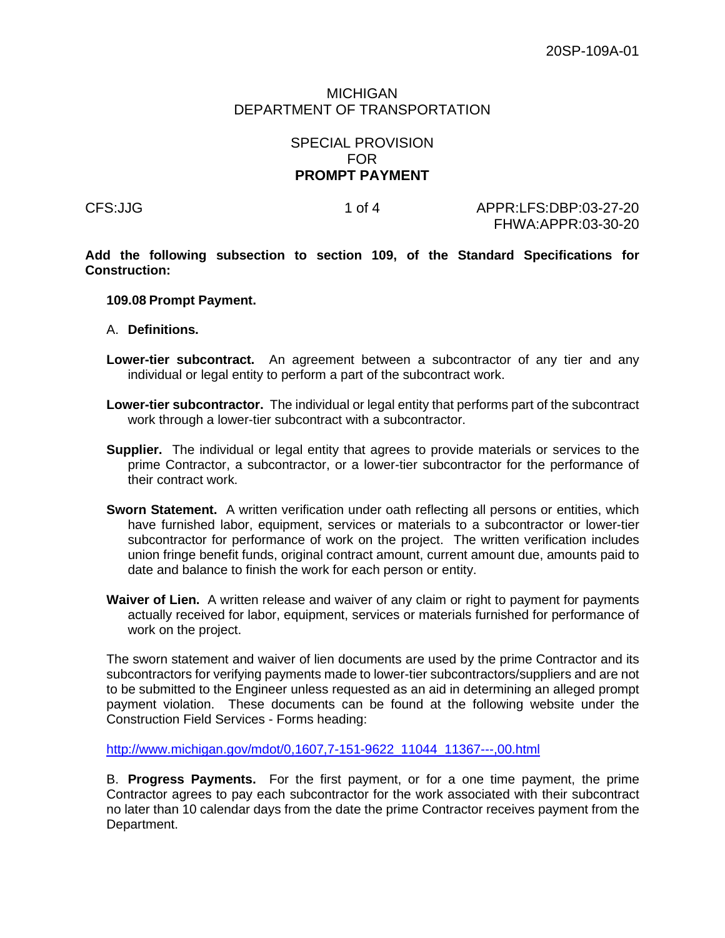## MICHIGAN DEPARTMENT OF TRANSPORTATION

## SPECIAL PROVISION FOR **PROMPT PAYMENT**

CFS:JJG 1 of 4 APPR:LFS:DBP:03-27-20 FHWA:APPR:03-30-20

**Add the following subsection to section 109, of the Standard Specifications for Construction:** 

## **109.08 Prompt Payment.**

- A. **Definitions.**
- **Lower-tier subcontract.** An agreement between a subcontractor of any tier and any individual or legal entity to perform a part of the subcontract work.
- **Lower-tier subcontractor.** The individual or legal entity that performs part of the subcontract work through a lower-tier subcontract with a subcontractor.
- **Supplier.** The individual or legal entity that agrees to provide materials or services to the prime Contractor, a subcontractor, or a lower-tier subcontractor for the performance of their contract work.
- **Sworn Statement.** A written verification under oath reflecting all persons or entities, which have furnished labor, equipment, services or materials to a subcontractor or lower-tier subcontractor for performance of work on the project. The written verification includes union fringe benefit funds, original contract amount, current amount due, amounts paid to date and balance to finish the work for each person or entity.
- **Waiver of Lien.** A written release and waiver of any claim or right to payment for payments actually received for labor, equipment, services or materials furnished for performance of work on the project.

The sworn statement and waiver of lien documents are used by the prime Contractor and its subcontractors for verifying payments made to lower-tier subcontractors/suppliers and are not to be submitted to the Engineer unless requested as an aid in determining an alleged prompt payment violation. These documents can be found at the following website under the Construction Field Services - Forms heading:

[http://www.michigan.gov/mdot/0,1607,7-151-9622\\_11044\\_11367---,00.html](http://www.michigan.gov/mdot/0,1607,7-151-9622_11044_11367---,00.html)

B. **Progress Payments.** For the first payment, or for a one time payment, the prime Contractor agrees to pay each subcontractor for the work associated with their subcontract no later than 10 calendar days from the date the prime Contractor receives payment from the Department.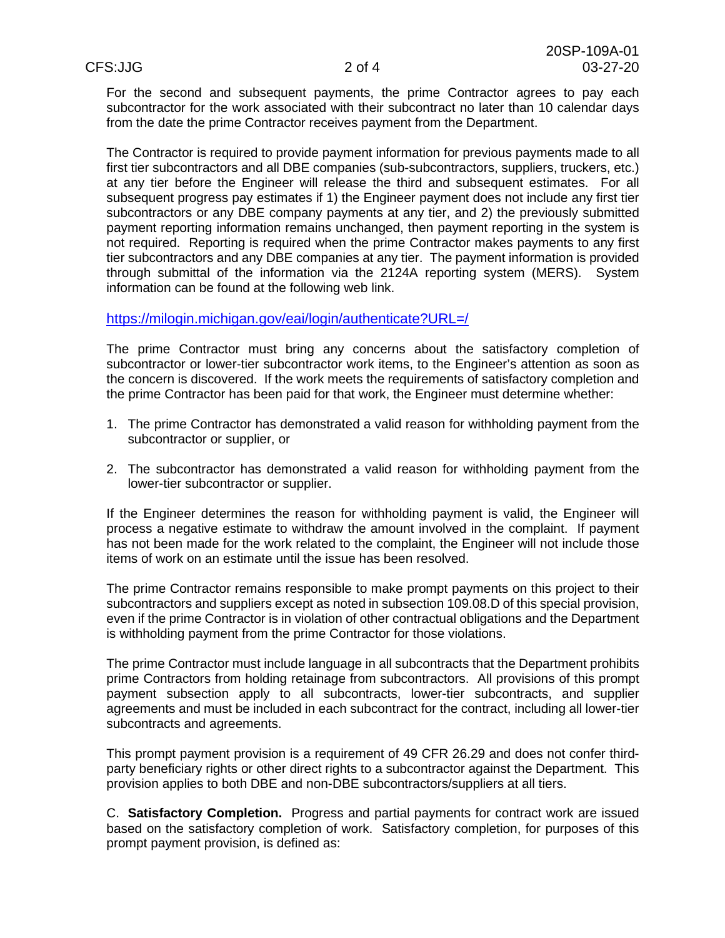For the second and subsequent payments, the prime Contractor agrees to pay each subcontractor for the work associated with their subcontract no later than 10 calendar days from the date the prime Contractor receives payment from the Department.

The Contractor is required to provide payment information for previous payments made to all first tier subcontractors and all DBE companies (sub-subcontractors, suppliers, truckers, etc.) at any tier before the Engineer will release the third and subsequent estimates. For all subsequent progress pay estimates if 1) the Engineer payment does not include any first tier subcontractors or any DBE company payments at any tier, and 2) the previously submitted payment reporting information remains unchanged, then payment reporting in the system is not required. Reporting is required when the prime Contractor makes payments to any first tier subcontractors and any DBE companies at any tier. The payment information is provided through submittal of the information via the 2124A reporting system (MERS). System information can be found at the following web link.

<https://milogin.michigan.gov/eai/login/authenticate?URL=/>

The prime Contractor must bring any concerns about the satisfactory completion of subcontractor or lower-tier subcontractor work items, to the Engineer's attention as soon as the concern is discovered. If the work meets the requirements of satisfactory completion and the prime Contractor has been paid for that work, the Engineer must determine whether:

- 1. The prime Contractor has demonstrated a valid reason for withholding payment from the subcontractor or supplier, or
- 2. The subcontractor has demonstrated a valid reason for withholding payment from the lower-tier subcontractor or supplier.

If the Engineer determines the reason for withholding payment is valid, the Engineer will process a negative estimate to withdraw the amount involved in the complaint. If payment has not been made for the work related to the complaint, the Engineer will not include those items of work on an estimate until the issue has been resolved.

The prime Contractor remains responsible to make prompt payments on this project to their subcontractors and suppliers except as noted in subsection 109.08.D of this special provision, even if the prime Contractor is in violation of other contractual obligations and the Department is withholding payment from the prime Contractor for those violations.

The prime Contractor must include language in all subcontracts that the Department prohibits prime Contractors from holding retainage from subcontractors. All provisions of this prompt payment subsection apply to all subcontracts, lower-tier subcontracts, and supplier agreements and must be included in each subcontract for the contract, including all lower-tier subcontracts and agreements.

This prompt payment provision is a requirement of 49 CFR 26.29 and does not confer thirdparty beneficiary rights or other direct rights to a subcontractor against the Department. This provision applies to both DBE and non-DBE subcontractors/suppliers at all tiers.

C. **Satisfactory Completion.** Progress and partial payments for contract work are issued based on the satisfactory completion of work. Satisfactory completion, for purposes of this prompt payment provision, is defined as: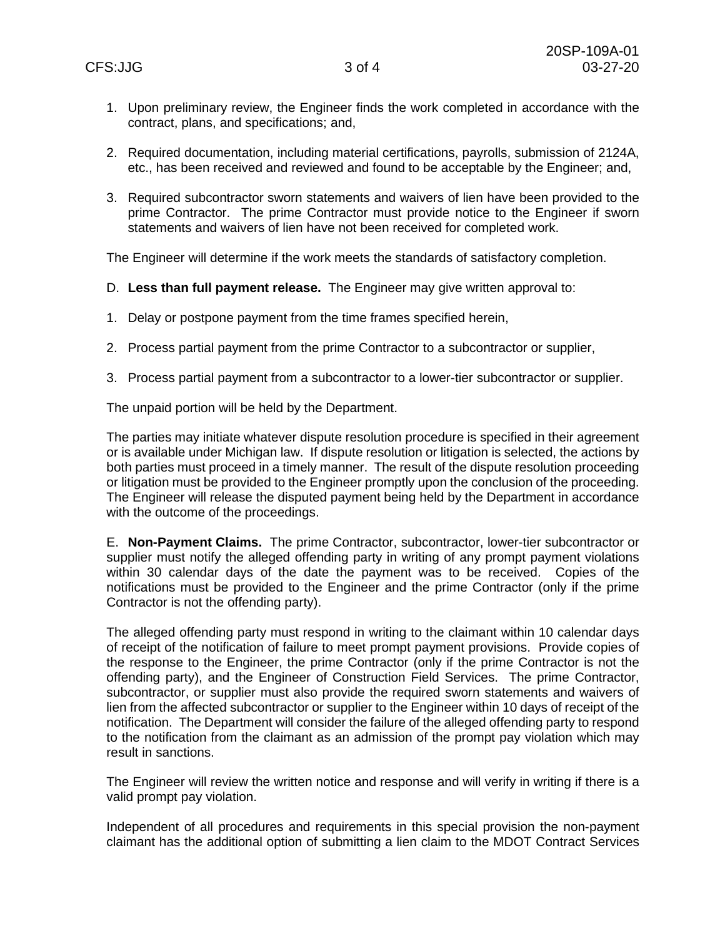- 1. Upon preliminary review, the Engineer finds the work completed in accordance with the contract, plans, and specifications; and,
- 2. Required documentation, including material certifications, payrolls, submission of 2124A, etc., has been received and reviewed and found to be acceptable by the Engineer; and,
- 3. Required subcontractor sworn statements and waivers of lien have been provided to the prime Contractor. The prime Contractor must provide notice to the Engineer if sworn statements and waivers of lien have not been received for completed work.

The Engineer will determine if the work meets the standards of satisfactory completion.

- D. **Less than full payment release.** The Engineer may give written approval to:
- 1. Delay or postpone payment from the time frames specified herein,
- 2. Process partial payment from the prime Contractor to a subcontractor or supplier,
- 3. Process partial payment from a subcontractor to a lower-tier subcontractor or supplier.

The unpaid portion will be held by the Department.

The parties may initiate whatever dispute resolution procedure is specified in their agreement or is available under Michigan law. If dispute resolution or litigation is selected, the actions by both parties must proceed in a timely manner. The result of the dispute resolution proceeding or litigation must be provided to the Engineer promptly upon the conclusion of the proceeding. The Engineer will release the disputed payment being held by the Department in accordance with the outcome of the proceedings.

E. **Non-Payment Claims.** The prime Contractor, subcontractor, lower-tier subcontractor or supplier must notify the alleged offending party in writing of any prompt payment violations within 30 calendar days of the date the payment was to be received. Copies of the notifications must be provided to the Engineer and the prime Contractor (only if the prime Contractor is not the offending party).

The alleged offending party must respond in writing to the claimant within 10 calendar days of receipt of the notification of failure to meet prompt payment provisions. Provide copies of the response to the Engineer, the prime Contractor (only if the prime Contractor is not the offending party), and the Engineer of Construction Field Services. The prime Contractor, subcontractor, or supplier must also provide the required sworn statements and waivers of lien from the affected subcontractor or supplier to the Engineer within 10 days of receipt of the notification. The Department will consider the failure of the alleged offending party to respond to the notification from the claimant as an admission of the prompt pay violation which may result in sanctions.

The Engineer will review the written notice and response and will verify in writing if there is a valid prompt pay violation.

Independent of all procedures and requirements in this special provision the non-payment claimant has the additional option of submitting a lien claim to the MDOT Contract Services